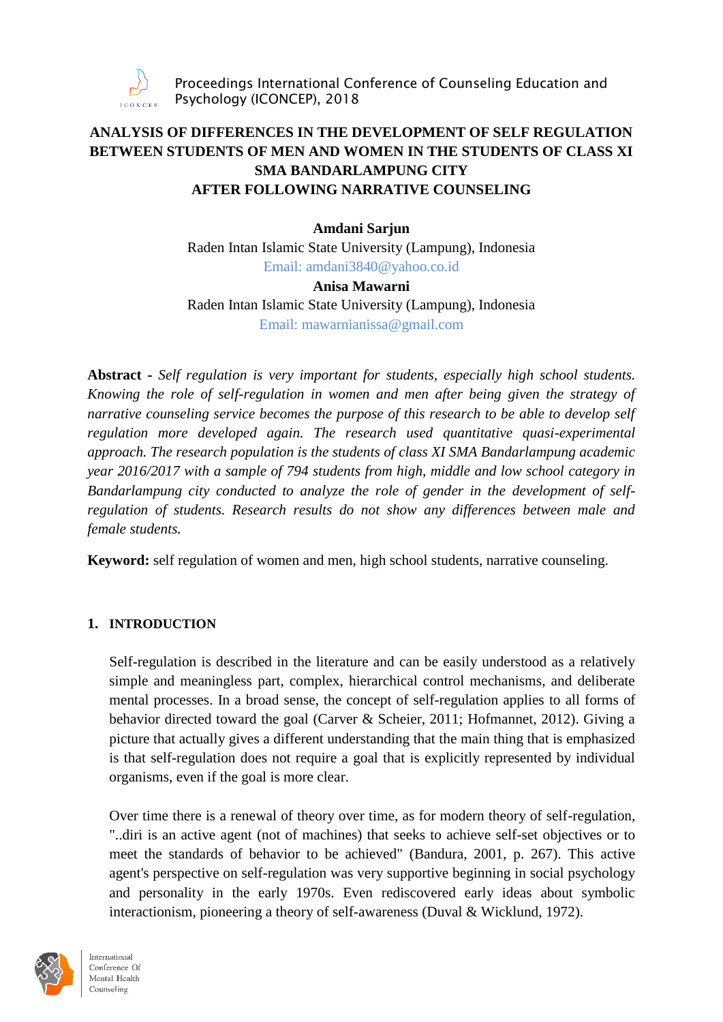

# **ANALYSIS OF DIFFERENCES IN THE DEVELOPMENT OF SELF REGULATION BETWEEN STUDENTS OF MEN AND WOMEN IN THE STUDENTS OF CLASS XI SMA BANDARLAMPUNG CITY AFTER FOLLOWING NARRATIVE COUNSELING**

### **Amdani Sarjun**

Raden Intan Islamic State University (Lampung), Indonesia Email: [amdani3840@yahoo.co.id](mailto:amdani3840@yahoo.co.id)

#### **Anisa Mawarni**

Raden Intan Islamic State University (Lampung), Indonesia Email: [mawarnianissa@gmail.com](mailto:mawarnianissa@gmail.com)

**Abstract -** *Self regulation is very important for students, especially high school students. Knowing the role of self-regulation in women and men after being given the strategy of narrative counseling service becomes the purpose of this research to be able to develop self regulation more developed again. The research used quantitative quasi-experimental approach. The research population is the students of class XI SMA Bandarlampung academic year 2016/2017 with a sample of 794 students from high, middle and low school category in Bandarlampung city conducted to analyze the role of gender in the development of selfregulation of students. Research results do not show any differences between male and female students.*

**Keyword:** self regulation of women and men, high school students, narrative counseling.

### **1. INTRODUCTION**

Self-regulation is described in the literature and can be easily understood as a relatively simple and meaningless part, complex, hierarchical control mechanisms, and deliberate mental processes. In a broad sense, the concept of self-regulation applies to all forms of behavior directed toward the goal (Carver & Scheier, 2011; Hofmannet, 2012). Giving a picture that actually gives a different understanding that the main thing that is emphasized is that self-regulation does not require a goal that is explicitly represented by individual organisms, even if the goal is more clear.

Over time there is a renewal of theory over time, as for modern theory of self-regulation, "..diri is an active agent (not of machines) that seeks to achieve self-set objectives or to meet the standards of behavior to be achieved" (Bandura, 2001, p. 267). This active agent's perspective on self-regulation was very supportive beginning in social psychology and personality in the early 1970s. Even rediscovered early ideas about symbolic interactionism, pioneering a theory of self-awareness (Duval & Wicklund, 1972).

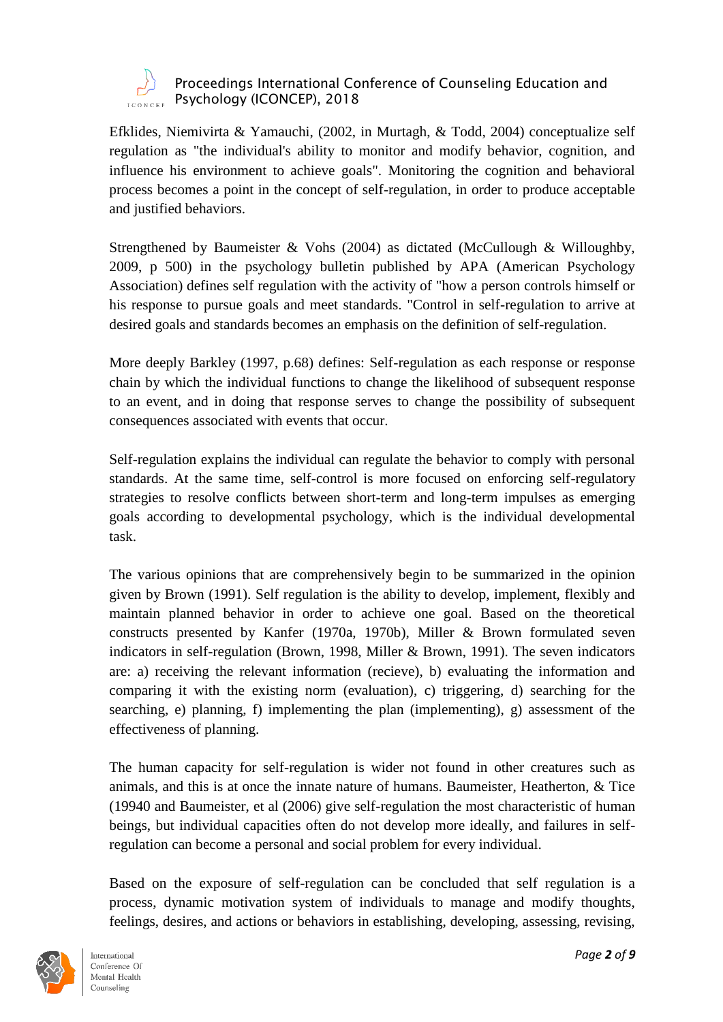

Efklides, Niemivirta & Yamauchi, (2002, in Murtagh, & Todd, 2004) conceptualize self regulation as "the individual's ability to monitor and modify behavior, cognition, and influence his environment to achieve goals". Monitoring the cognition and behavioral process becomes a point in the concept of self-regulation, in order to produce acceptable and justified behaviors.

Strengthened by Baumeister & Vohs (2004) as dictated (McCullough & Willoughby, 2009, p 500) in the psychology bulletin published by APA (American Psychology Association) defines self regulation with the activity of "how a person controls himself or his response to pursue goals and meet standards. "Control in self-regulation to arrive at desired goals and standards becomes an emphasis on the definition of self-regulation.

More deeply Barkley (1997, p.68) defines: Self-regulation as each response or response chain by which the individual functions to change the likelihood of subsequent response to an event, and in doing that response serves to change the possibility of subsequent consequences associated with events that occur.

Self-regulation explains the individual can regulate the behavior to comply with personal standards. At the same time, self-control is more focused on enforcing self-regulatory strategies to resolve conflicts between short-term and long-term impulses as emerging goals according to developmental psychology, which is the individual developmental task.

The various opinions that are comprehensively begin to be summarized in the opinion given by Brown (1991). Self regulation is the ability to develop, implement, flexibly and maintain planned behavior in order to achieve one goal. Based on the theoretical constructs presented by Kanfer (1970a, 1970b), Miller & Brown formulated seven indicators in self-regulation (Brown, 1998, Miller & Brown, 1991). The seven indicators are: a) receiving the relevant information (recieve), b) evaluating the information and comparing it with the existing norm (evaluation), c) triggering, d) searching for the searching, e) planning, f) implementing the plan (implementing), g) assessment of the effectiveness of planning.

The human capacity for self-regulation is wider not found in other creatures such as animals, and this is at once the innate nature of humans. Baumeister, Heatherton, & Tice (19940 and Baumeister, et al (2006) give self-regulation the most characteristic of human beings, but individual capacities often do not develop more ideally, and failures in selfregulation can become a personal and social problem for every individual.

Based on the exposure of self-regulation can be concluded that self regulation is a process, dynamic motivation system of individuals to manage and modify thoughts, feelings, desires, and actions or behaviors in establishing, developing, assessing, revising,

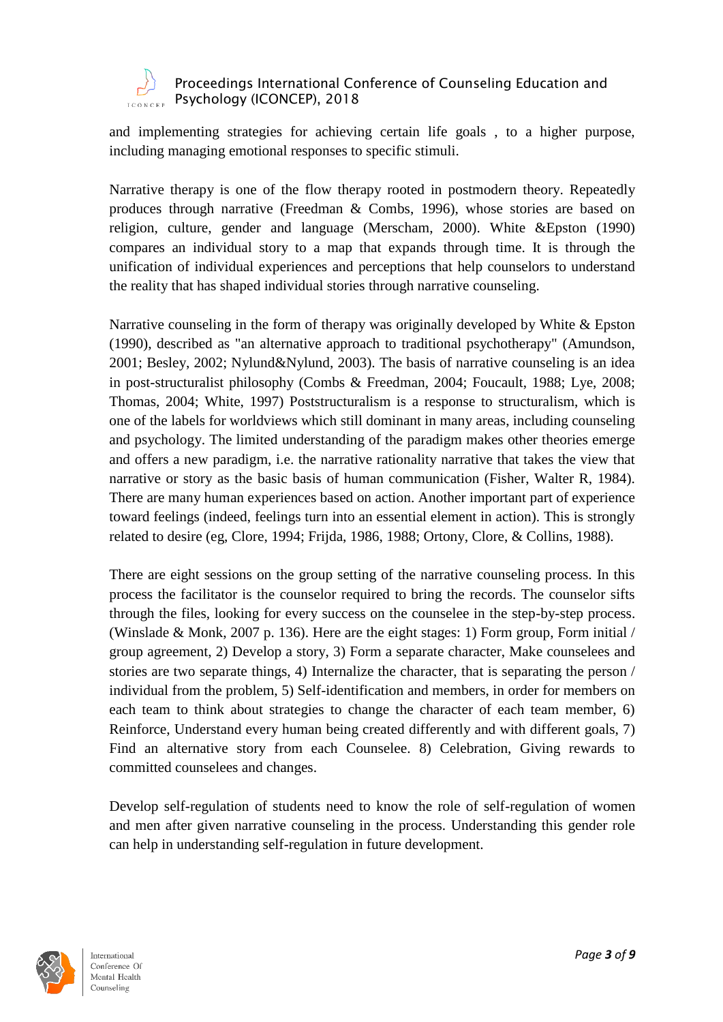

and implementing strategies for achieving certain life goals , to a higher purpose, including managing emotional responses to specific stimuli.

Narrative therapy is one of the flow therapy rooted in postmodern theory. Repeatedly produces through narrative (Freedman & Combs, 1996), whose stories are based on religion, culture, gender and language (Merscham, 2000). White &Epston (1990) compares an individual story to a map that expands through time. It is through the unification of individual experiences and perceptions that help counselors to understand the reality that has shaped individual stories through narrative counseling.

Narrative counseling in the form of therapy was originally developed by White & Epston (1990), described as "an alternative approach to traditional psychotherapy" (Amundson, 2001; Besley, 2002; Nylund&Nylund, 2003). The basis of narrative counseling is an idea in post-structuralist philosophy (Combs & Freedman, 2004; Foucault, 1988; Lye, 2008; Thomas, 2004; White, 1997) Poststructuralism is a response to structuralism, which is one of the labels for worldviews which still dominant in many areas, including counseling and psychology. The limited understanding of the paradigm makes other theories emerge and offers a new paradigm, i.e. the narrative rationality narrative that takes the view that narrative or story as the basic basis of human communication (Fisher, Walter R, 1984). There are many human experiences based on action. Another important part of experience toward feelings (indeed, feelings turn into an essential element in action). This is strongly related to desire (eg, Clore, 1994; Frijda, 1986, 1988; Ortony, Clore, & Collins, 1988).

There are eight sessions on the group setting of the narrative counseling process. In this process the facilitator is the counselor required to bring the records. The counselor sifts through the files, looking for every success on the counselee in the step-by-step process. (Winslade & Monk, 2007 p. 136). Here are the eight stages: 1) Form group, Form initial / group agreement, 2) Develop a story, 3) Form a separate character, Make counselees and stories are two separate things, 4) Internalize the character, that is separating the person / individual from the problem, 5) Self-identification and members, in order for members on each team to think about strategies to change the character of each team member, 6) Reinforce, Understand every human being created differently and with different goals, 7) Find an alternative story from each Counselee. 8) Celebration, Giving rewards to committed counselees and changes.

Develop self-regulation of students need to know the role of self-regulation of women and men after given narrative counseling in the process. Understanding this gender role can help in understanding self-regulation in future development.

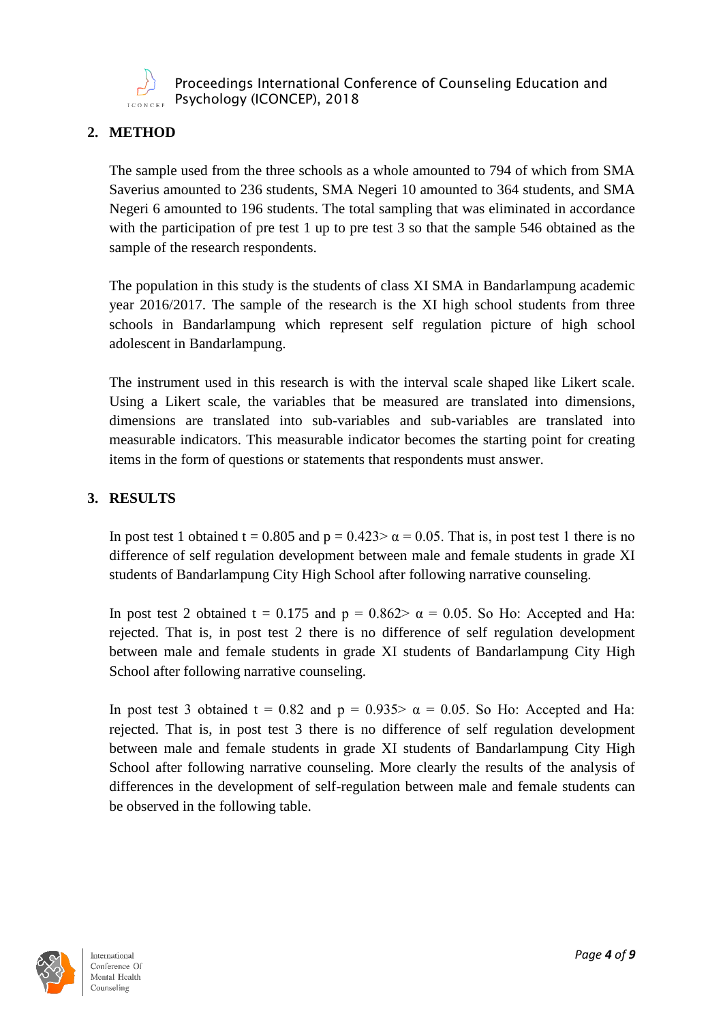

# **2. METHOD**

The sample used from the three schools as a whole amounted to 794 of which from SMA Saverius amounted to 236 students, SMA Negeri 10 amounted to 364 students, and SMA Negeri 6 amounted to 196 students. The total sampling that was eliminated in accordance with the participation of pre test 1 up to pre test 3 so that the sample 546 obtained as the sample of the research respondents.

The population in this study is the students of class XI SMA in Bandarlampung academic year 2016/2017. The sample of the research is the XI high school students from three schools in Bandarlampung which represent self regulation picture of high school adolescent in Bandarlampung.

The instrument used in this research is with the interval scale shaped like Likert scale. Using a Likert scale, the variables that be measured are translated into dimensions, dimensions are translated into sub-variables and sub-variables are translated into measurable indicators. This measurable indicator becomes the starting point for creating items in the form of questions or statements that respondents must answer.

# **3. RESULTS**

In post test 1 obtained t = 0.805 and  $p = 0.423 > \alpha = 0.05$ . That is, in post test 1 there is no difference of self regulation development between male and female students in grade XI students of Bandarlampung City High School after following narrative counseling.

In post test 2 obtained t = 0.175 and  $p = 0.862 > \alpha = 0.05$ . So Ho: Accepted and Ha: rejected. That is, in post test 2 there is no difference of self regulation development between male and female students in grade XI students of Bandarlampung City High School after following narrative counseling.

In post test 3 obtained t = 0.82 and  $p = 0.935 > \alpha = 0.05$ . So Ho: Accepted and Ha: rejected. That is, in post test 3 there is no difference of self regulation development between male and female students in grade XI students of Bandarlampung City High School after following narrative counseling. More clearly the results of the analysis of differences in the development of self-regulation between male and female students can be observed in the following table.

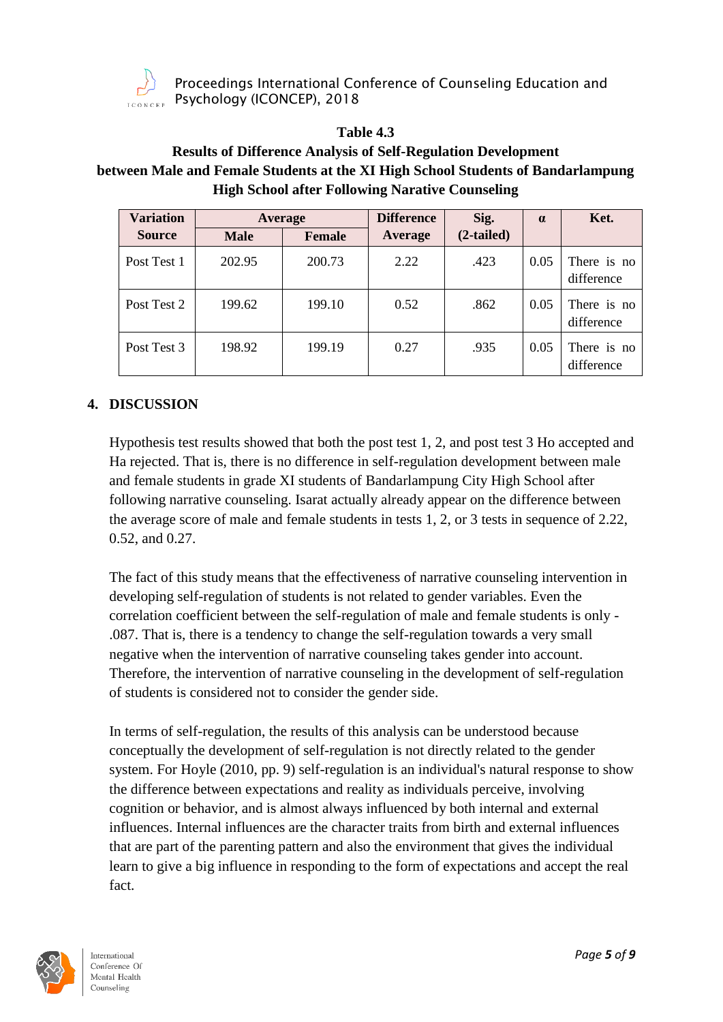

### **Table 4.3**

# **Results of Difference Analysis of Self-Regulation Development between Male and Female Students at the XI High School Students of Bandarlampung High School after Following Narative Counseling**

| <b>Variation</b> | Average     |               | <b>Difference</b> | Sig.         | $\alpha$ | Ket.                      |
|------------------|-------------|---------------|-------------------|--------------|----------|---------------------------|
| <b>Source</b>    | <b>Male</b> | <b>Female</b> | Average           | $(2-tailed)$ |          |                           |
| Post Test 1      | 202.95      | 200.73        | 2.22              | .423         | 0.05     | There is no<br>difference |
| Post Test 2      | 199.62      | 199.10        | 0.52              | .862         | 0.05     | There is no<br>difference |
| Post Test 3      | 198.92      | 199.19        | 0.27              | .935         | 0.05     | There is no<br>difference |

# **4. DISCUSSION**

Hypothesis test results showed that both the post test 1, 2, and post test 3 Ho accepted and Ha rejected. That is, there is no difference in self-regulation development between male and female students in grade XI students of Bandarlampung City High School after following narrative counseling. Isarat actually already appear on the difference between the average score of male and female students in tests 1, 2, or 3 tests in sequence of 2.22, 0.52, and 0.27.

The fact of this study means that the effectiveness of narrative counseling intervention in developing self-regulation of students is not related to gender variables. Even the correlation coefficient between the self-regulation of male and female students is only - .087. That is, there is a tendency to change the self-regulation towards a very small negative when the intervention of narrative counseling takes gender into account. Therefore, the intervention of narrative counseling in the development of self-regulation of students is considered not to consider the gender side.

In terms of self-regulation, the results of this analysis can be understood because conceptually the development of self-regulation is not directly related to the gender system. For Hoyle (2010, pp. 9) self-regulation is an individual's natural response to show the difference between expectations and reality as individuals perceive, involving cognition or behavior, and is almost always influenced by both internal and external influences. Internal influences are the character traits from birth and external influences that are part of the parenting pattern and also the environment that gives the individual learn to give a big influence in responding to the form of expectations and accept the real fact.

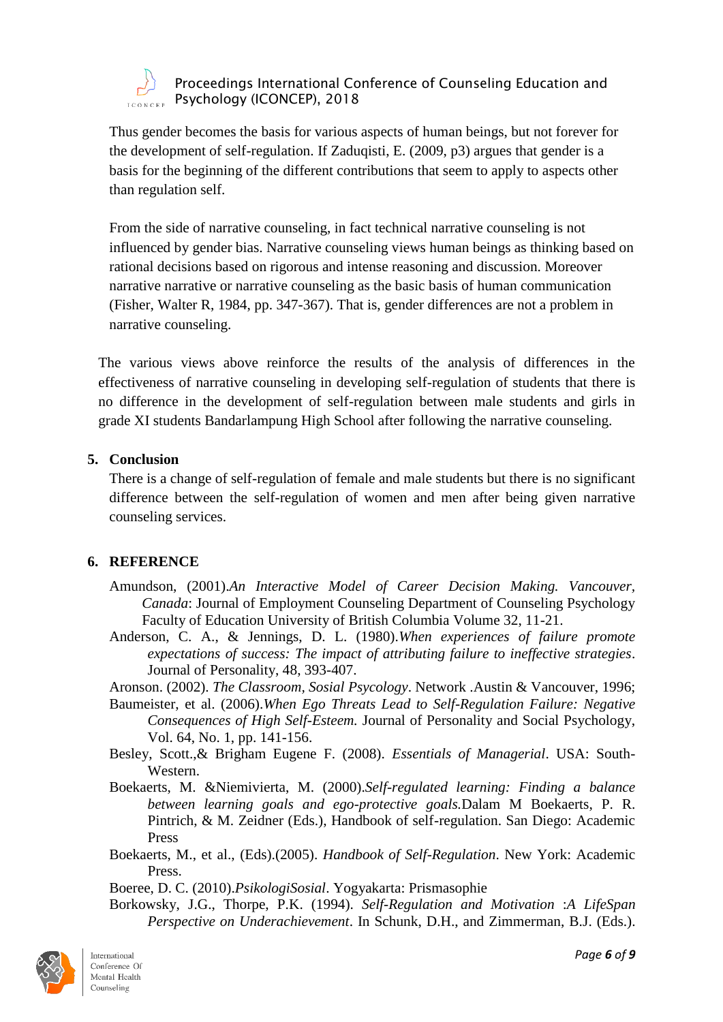

Thus gender becomes the basis for various aspects of human beings, but not forever for the development of self-regulation. If Zaduqisti, E. (2009, p3) argues that gender is a basis for the beginning of the different contributions that seem to apply to aspects other than regulation self.

From the side of narrative counseling, in fact technical narrative counseling is not influenced by gender bias. Narrative counseling views human beings as thinking based on rational decisions based on rigorous and intense reasoning and discussion. Moreover narrative narrative or narrative counseling as the basic basis of human communication (Fisher, Walter R, 1984, pp. 347-367). That is, gender differences are not a problem in narrative counseling.

The various views above reinforce the results of the analysis of differences in the effectiveness of narrative counseling in developing self-regulation of students that there is no difference in the development of self-regulation between male students and girls in grade XI students Bandarlampung High School after following the narrative counseling.

### **5. Conclusion**

There is a change of self-regulation of female and male students but there is no significant difference between the self-regulation of women and men after being given narrative counseling services.

### **6. REFERENCE**

- Amundson, (2001).*An Interactive Model of Career Decision Making. Vancouver, Canada*: Journal of Employment Counseling Department of Counseling Psychology Faculty of Education University of British Columbia Volume 32, 11-21.
- Anderson, C. A., & Jennings, D. L. (1980).*When experiences of failure promote expectations of success: The impact of attributing failure to ineffective strategies*. Journal of Personality, 48, 393-407.

Aronson. (2002). *The Classroom, Sosial Psycology*. Network .Austin & Vancouver, 1996;

- Baumeister, et al. (2006).*When Ego Threats Lead to Self-Regulation Failure: Negative Consequences of High Self-Esteem.* Journal of Personality and Social Psychology, Vol. 64, No. 1, pp. 141-156.
- Besley, Scott.,& Brigham Eugene F. (2008). *Essentials of Managerial*. USA: South-Western.
- Boekaerts, M. &Niemivierta, M. (2000).*Self-regulated learning: Finding a balance between learning goals and ego-protective goals.*Dalam M Boekaerts, P. R. Pintrich, & M. Zeidner (Eds.), Handbook of self-regulation. San Diego: Academic Press
- Boekaerts, M., et al., (Eds).(2005). *Handbook of Self-Regulation*. New York: Academic Press.

Boeree, D. C. (2010).*PsikologiSosial*. Yogyakarta: Prismasophie

Borkowsky, J.G., Thorpe, P.K. (1994). *Self-Regulation and Motivation* :*A LifeSpan Perspective on Underachievement*. In Schunk, D.H., and Zimmerman, B.J. (Eds.).

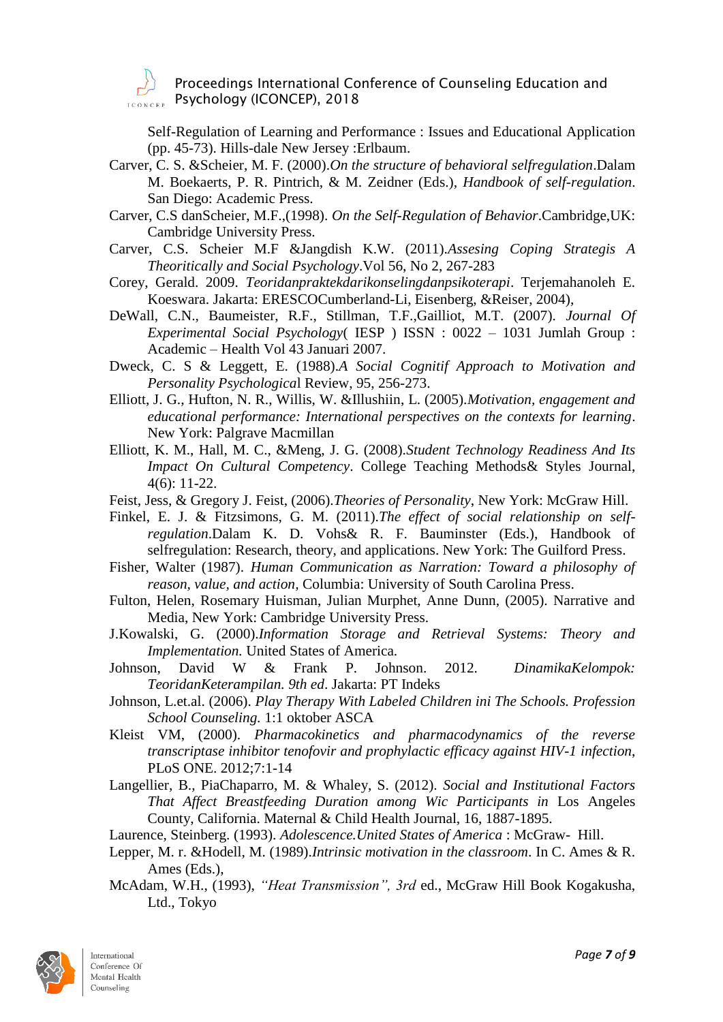

Self-Regulation of Learning and Performance : Issues and Educational Application (pp. 45-73). Hills-dale New Jersey :Erlbaum.

- Carver, C. S. &Scheier, M. F. (2000).*On the structure of behavioral selfregulation*.Dalam M. Boekaerts, P. R. Pintrich, & M. Zeidner (Eds.), *Handbook of self-regulation*. San Diego: Academic Press.
- Carver, C.S danScheier, M.F.,(1998). *On the Self-Regulation of Behavior*.Cambridge,UK: Cambridge University Press.
- Carver, C.S. Scheier M.F &Jangdish K.W. (2011).*Assesing Coping Strategis A Theoritically and Social Psychology*.Vol 56, No 2, 267-283
- Corey, Gerald. 2009. *Teoridanpraktekdarikonselingdanpsikoterapi*. Terjemahanoleh E. Koeswara. Jakarta: ERESCOCumberland-Li, Eisenberg, &Reiser, 2004),
- DeWall, C.N., Baumeister, R.F., Stillman, T.F.,Gailliot, M.T. (2007). *Journal Of Experimental Social Psychology*( IESP ) ISSN : 0022 – 1031 Jumlah Group : Academic – Health Vol 43 Januari 2007.
- Dweck, C. S & Leggett, E. (1988).*A Social Cognitif Approach to Motivation and Personality Psychologica*l Review, 95, 256-273.
- Elliott, J. G., Hufton, N. R., Willis, W. &Illushiin, L. (2005).*Motivation, engagement and educational performance: International perspectives on the contexts for learning*. New York: Palgrave Macmillan
- Elliott, K. M., Hall, M. C., &Meng, J. G. (2008).*Student Technology Readiness And Its Impact On Cultural Competency*. College Teaching Methods& Styles Journal, 4(6): 11-22.
- Feist, Jess, & Gregory J. Feist, (2006).*Theories of Personality*, New York: McGraw Hill.
- Finkel, E. J. & Fitzsimons, G. M. (2011).*The effect of social relationship on selfregulation*.Dalam K. D. Vohs& R. F. Bauminster (Eds.), Handbook of selfregulation: Research, theory, and applications. New York: The Guilford Press.
- Fisher, Walter (1987). *Human Communication as Narration: Toward a philosophy of reason, value, and action,* Columbia: University of South Carolina Press.
- Fulton, Helen, Rosemary Huisman, Julian Murphet, Anne Dunn, (2005). Narrative and Media, New York: Cambridge University Press.
- J.Kowalski, G. (2000).*Information Storage and Retrieval Systems: Theory and Implementation.* United States of America.
- Johnson, David W & Frank P. Johnson. 2012. *DinamikaKelompok: TeoridanKeterampilan. 9th ed*. Jakarta: PT Indeks
- Johnson, L.et.al. (2006). *Play Therapy With Labeled Children ini The Schools. Profession School Counseling.* 1:1 oktober ASCA
- Kleist VM, (2000). *Pharmacokinetics and pharmacodynamics of the reverse transcriptase inhibitor tenofovir and prophylactic efficacy against HIV-1 infection*, PLoS ONE. 2012;7:1-14
- Langellier, B., PiaChaparro, M. & Whaley, S. (2012). *Social and Institutional Factors That Affect Breastfeeding Duration among Wic Participants in* Los Angeles County, California. Maternal & Child Health Journal, 16, 1887-1895.
- Laurence, Steinberg. (1993). *Adolescence.United States of America* : McGraw- Hill.
- Lepper, M. r. &Hodell, M. (1989).*Intrinsic motivation in the classroom*. In C. Ames & R. Ames (Eds.),
- McAdam, W.H., (1993), *"Heat Transmission", 3rd* ed., McGraw Hill Book Kogakusha, Ltd., Tokyo

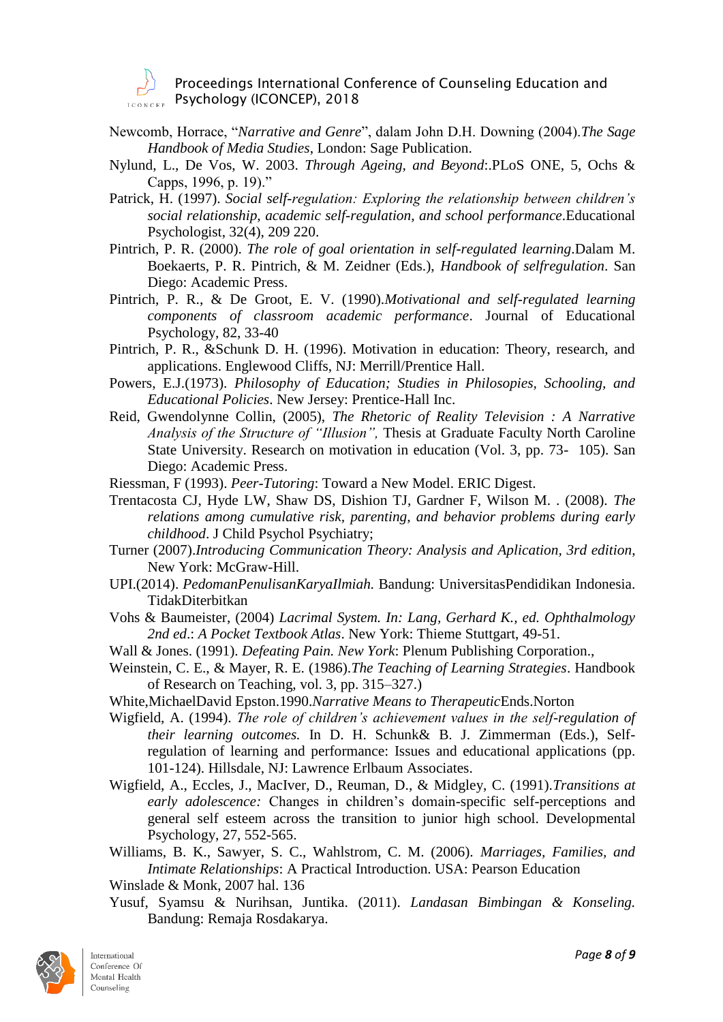- Newcomb, Horrace, "*Narrative and Genre*", dalam John D.H. Downing (2004).*The Sage Handbook of Media Studies*, London: Sage Publication.
- Nylund, L., De Vos, W. 2003. *Through Ageing, and Beyond*:.PLoS ONE, 5, Ochs & Capps, 1996, p. 19)."
- Patrick, H. (1997). *Social self-regulation: Exploring the relationship between children's social relationship, academic self-regulation, and school performance*.Educational Psychologist, 32(4), 209 220.
- Pintrich, P. R. (2000). *The role of goal orientation in self-regulated learning*.Dalam M. Boekaerts, P. R. Pintrich, & M. Zeidner (Eds.), *Handbook of selfregulation*. San Diego: Academic Press.
- Pintrich, P. R., & De Groot, E. V. (1990).*Motivational and self-regulated learning components of classroom academic performance*. Journal of Educational Psychology, 82, 33-40
- Pintrich, P. R., &Schunk D. H. (1996). Motivation in education: Theory, research, and applications. Englewood Cliffs, NJ: Merrill/Prentice Hall.
- Powers, E.J.(1973). *Philosophy of Education; Studies in Philosopies, Schooling, and Educational Policies*. New Jersey: Prentice-Hall Inc.
- Reid, Gwendolynne Collin, (2005), *The Rhetoric of Reality Television : A Narrative Analysis of the Structure of "Illusion",* Thesis at Graduate Faculty North Caroline State University. Research on motivation in education (Vol. 3, pp. 73- 105). San Diego: Academic Press.
- Riessman, F (1993). *Peer-Tutoring*: Toward a New Model. ERIC Digest.
- Trentacosta CJ, Hyde LW, Shaw DS, Dishion TJ, Gardner F, Wilson M. . (2008). *The relations among cumulative risk, parenting, and behavior problems during early childhood*. J Child Psychol Psychiatry;
- Turner (2007).*Introducing Communication Theory: Analysis and Aplication, 3rd edition*, New York: McGraw-Hill.
- UPI.(2014). *PedomanPenulisanKaryaIlmiah.* Bandung: UniversitasPendidikan Indonesia. TidakDiterbitkan
- Vohs & Baumeister, (2004) *Lacrimal System. In: Lang, Gerhard K., ed. Ophthalmology 2nd ed*.: *A Pocket Textbook Atlas*. New York: Thieme Stuttgart, 49-51.
- Wall & Jones. (1991). *Defeating Pain. New York*: Plenum Publishing Corporation.,
- Weinstein, C. E., & Mayer, R. E. (1986).*The Teaching of Learning Strategies*. Handbook of Research on Teaching, vol. 3, pp. 315–327.)
- White,MichaelDavid Epston.1990.*Narrative Means to Therapeutic*Ends.Norton
- Wigfield, A. (1994). *The role of children's achievement values in the self-regulation of their learning outcomes.* In D. H. Schunk& B. J. Zimmerman (Eds.), Selfregulation of learning and performance: Issues and educational applications (pp. 101-124). Hillsdale, NJ: Lawrence Erlbaum Associates.
- Wigfield, A., Eccles, J., MacIver, D., Reuman, D., & Midgley, C. (1991).*Transitions at early adolescence:* Changes in children's domain-specific self-perceptions and general self esteem across the transition to junior high school. Developmental Psychology, 27, 552-565.
- Williams, B. K., Sawyer, S. C., Wahlstrom, C. M. (2006). *Marriages, Families, and Intimate Relationships*: A Practical Introduction. USA: Pearson Education
- Winslade & Monk, 2007 hal. 136
- Yusuf, Syamsu & Nurihsan, Juntika. (2011). *Landasan Bimbingan & Konseling.* Bandung: Remaja Rosdakarya.